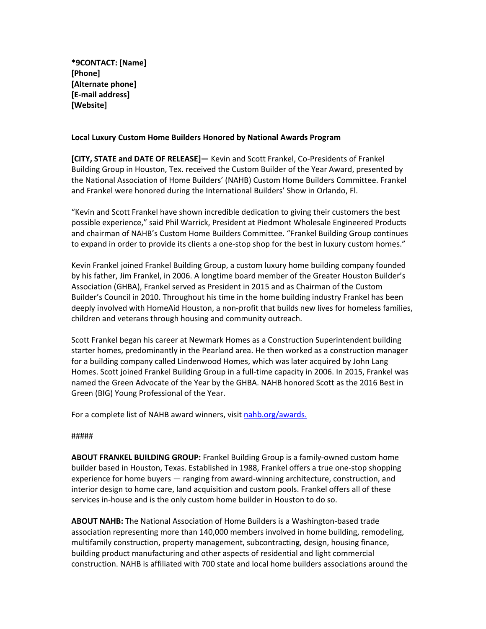**\*9CONTACT: [Name] [Phone] [Alternate phone] [E-mail address] [Website]**

## **Local Luxury Custom Home Builders Honored by National Awards Program**

**[CITY, STATE and DATE OF RELEASE]—** Kevin and Scott Frankel, Co-Presidents of Frankel Building Group in Houston, Tex. received the Custom Builder of the Year Award, presented by the National Association of Home Builders' (NAHB) Custom Home Builders Committee. Frankel and Frankel were honored during the International Builders' Show in Orlando, Fl.

"Kevin and Scott Frankel have shown incredible dedication to giving their customers the best possible experience," said Phil Warrick, President at Piedmont Wholesale Engineered Products and chairman of NAHB's Custom Home Builders Committee. "Frankel Building Group continues to expand in order to provide its clients a one-stop shop for the best in luxury custom homes."

Kevin Frankel joined Frankel Building Group, a custom luxury home building company founded by his father, Jim Frankel, in 2006. A longtime board member of the Greater Houston Builder's Association (GHBA), Frankel served as President in 2015 and as Chairman of the Custom Builder's Council in 2010. Throughout his time in the home building industry Frankel has been deeply involved with HomeAid Houston, a non-profit that builds new lives for homeless families, children and veterans through housing and community outreach.

Scott Frankel began his career at Newmark Homes as a Construction Superintendent building starter homes, predominantly in the Pearland area. He then worked as a construction manager for a building company called Lindenwood Homes, which was later acquired by John Lang Homes. Scott joined Frankel Building Group in a full-time capacity in 2006. In 2015, Frankel was named the Green Advocate of the Year by the GHBA. NAHB honored Scott as the 2016 Best in Green (BIG) Young Professional of the Year.

For a complete list of NAHB award winners, visit nahb.org/awards.

## #####

**ABOUT FRANKEL BUILDING GROUP:** Frankel Building Group is a family-owned custom home builder based in Houston, Texas. Established in 1988, Frankel offers a true one-stop shopping experience for home buyers — ranging from award-winning architecture, construction, and interior design to home care, land acquisition and custom pools. Frankel offers all of these services in-house and is the only custom home builder in Houston to do so.

**ABOUT NAHB:** The National Association of Home Builders is a Washington-based trade association representing more than 140,000 members involved in home building, remodeling, multifamily construction, property management, subcontracting, design, housing finance, building product manufacturing and other aspects of residential and light commercial construction. NAHB is affiliated with 700 state and local home builders associations around the